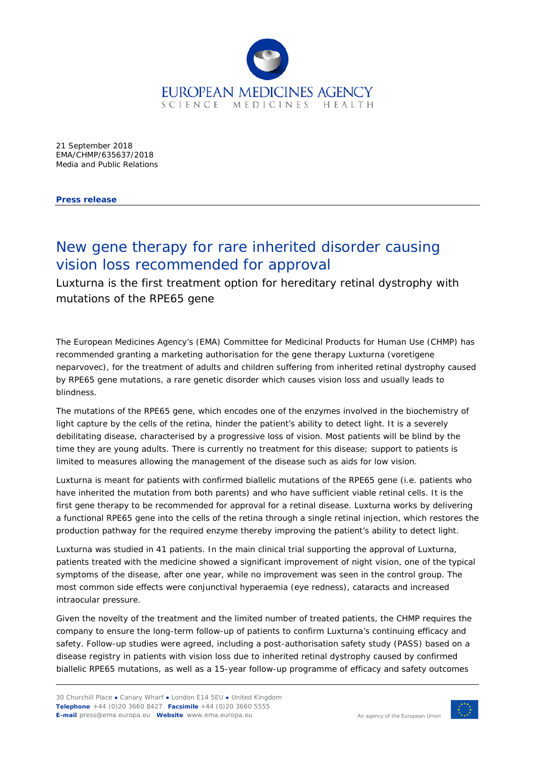

21 September 2018 EMA/CHMP/635637/2018 Media and Public Relations

**Press release**

## New gene therapy for rare inherited disorder causing vision loss recommended for approval

Luxturna is the first treatment option for hereditary retinal dystrophy with mutations of the RPE65 gene

The European Medicines Agency's (EMA) Committee for Medicinal Products for Human Use (CHMP) has recommended granting a marketing authorisation for the gene therapy Luxturna (voretigene neparvovec), for the treatment of adults and children suffering from inherited retinal dystrophy caused by RPE65 gene mutations, a rare genetic disorder which causes vision loss and usually leads to blindness.

The mutations of the RPE65 gene, which encodes one of the enzymes involved in the biochemistry of light capture by the cells of the retina, hinder the patient's ability to detect light. It is a severely debilitating disease, characterised by a progressive loss of vision. Most patients will be blind by the time they are young adults. There is currently no treatment for this disease; support to patients is limited to measures allowing the management of the disease such as aids for low vision.

Luxturna is meant for patients with confirmed biallelic mutations of the RPE65 gene (i.e. patients who have inherited the mutation from both parents) and who have sufficient viable retinal cells. It is the first gene therapy to be recommended for approval for a retinal disease. Luxturna works by delivering a functional RPE65 gene into the cells of the retina through a single retinal injection, which restores the production pathway for the required enzyme thereby improving the patient's ability to detect light.

Luxturna was studied in 41 patients. In the main clinical trial supporting the approval of Luxturna, patients treated with the medicine showed a significant improvement of night vision, one of the typical symptoms of the disease, after one year, while no improvement was seen in the control group. The most common side effects were conjunctival hyperaemia (eye redness), cataracts and increased intraocular pressure.

Given the novelty of the treatment and the limited number of treated patients, the CHMP requires the company to ensure the long-term follow-up of patients to confirm Luxturna's continuing efficacy and safety. Follow-up studies were agreed, including a post-authorisation safety study (PASS) based on a disease registry in patients with vision loss due to inherited retinal dystrophy caused by confirmed biallelic RPE65 mutations, as well as a 15-year follow-up programme of efficacy and safety outcomes